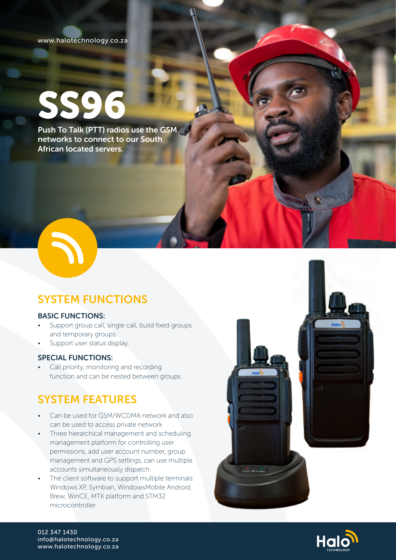## www.halotechnology.co.za

# SS96

Push To Talk (PTT) radios use the GSM networks to connect to our South African located servers.



# SYSTEM FUNCTIONS

## BASIC FUNCTIONS:

- Support group call, single call, build fixed groups and temporary groups.
- Support user status display.

# SPECIAL FUNCTIONS:

• Call priority, monitoring and recording function and can be nested between groups.

# SYSTEM FEATURES

- Can be used for GSM/WCDMA network and also can be used to access private network
- Three hierarchical management and scheduling management platform for controlling user permissions, add user account number, group management and GPS settings, can use multiple accounts simultaneously dispatch.
- The client software to support multiple terminals: Windows XP, Symbian, WindowsMobile Android, Brew, WinCE, MTK platform and STM32 microcontroller.





012 347 1430 info@halotechnology.co.za www.halotechnology.co.za